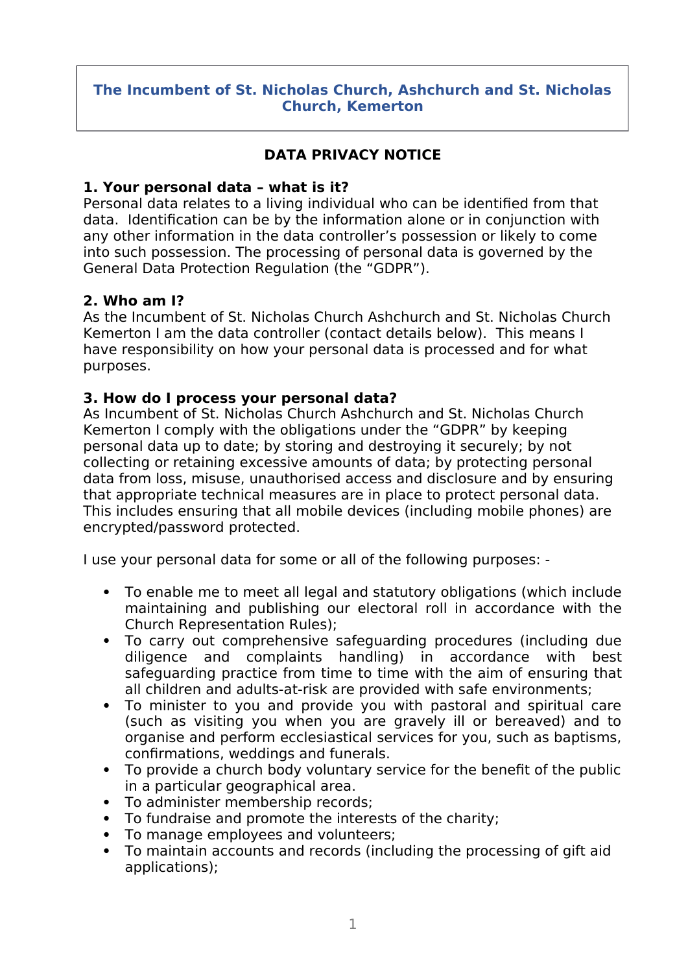### **The Incumbent of St. Nicholas Church, Ashchurch and St. Nicholas Church, Kemerton**

# **DATA PRIVACY NOTICE**

### **1. Your personal data – what is it?**

Personal data relates to a living individual who can be identifed from that data. Identifcation can be by the information alone or in conjunction with any other information in the data controller's possession or likely to come into such possession. The processing of personal data is governed by the General Data Protection Regulation (the "GDPR").

### **2. Who am I?**

As the Incumbent of St. Nicholas Church Ashchurch and St. Nicholas Church Kemerton I am the data controller (contact details below). This means I have responsibility on how your personal data is processed and for what purposes.

### **3. How do I process your personal data?**

As Incumbent of St. Nicholas Church Ashchurch and St. Nicholas Church Kemerton I comply with the obligations under the "GDPR" by keeping personal data up to date; by storing and destroying it securely; by not collecting or retaining excessive amounts of data; by protecting personal data from loss, misuse, unauthorised access and disclosure and by ensuring that appropriate technical measures are in place to protect personal data. This includes ensuring that all mobile devices (including mobile phones) are encrypted/password protected.

I use your personal data for some or all of the following purposes: -

- To enable me to meet all legal and statutory obligations (which include maintaining and publishing our electoral roll in accordance with the Church Representation Rules);
- To carry out comprehensive safeguarding procedures (including due diligence and complaints handling) in accordance with best safeguarding practice from time to time with the aim of ensuring that all children and adults-at-risk are provided with safe environments;
- To minister to you and provide you with pastoral and spiritual care (such as visiting you when you are gravely ill or bereaved) and to organise and perform ecclesiastical services for you, such as baptisms, confrmations, weddings and funerals.
- To provide a church body voluntary service for the beneft of the public in a particular geographical area.
- To administer membership records;
- To fundraise and promote the interests of the charity;
- To manage employees and volunteers;
- To maintain accounts and records (including the processing of gift aid applications);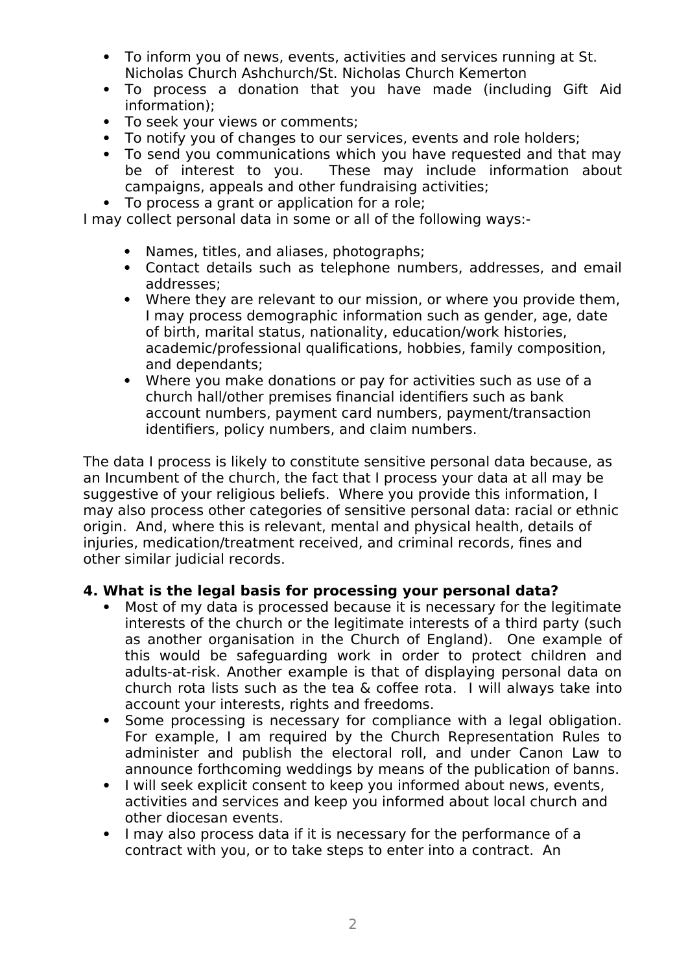- To inform you of news, events, activities and services running at St. Nicholas Church Ashchurch/St. Nicholas Church Kemerton
- To process a donation that you have made (including Gift Aid information);
- To seek your views or comments;
- To notify you of changes to our services, events and role holders;
- To send you communications which you have requested and that may be of interest to you. These may include information about campaigns, appeals and other fundraising activities;
- To process a grant or application for a role;

I may collect personal data in some or all of the following ways:-

- Names, titles, and aliases, photographs;
- Contact details such as telephone numbers, addresses, and email addresses;
- Where they are relevant to our mission, or where you provide them, I may process demographic information such as gender, age, date of birth, marital status, nationality, education/work histories, academic/professional qualifcations, hobbies, family composition, and dependants;
- Where you make donations or pay for activities such as use of a church hall/other premises fnancial identifers such as bank account numbers, payment card numbers, payment/transaction identifers, policy numbers, and claim numbers.

The data I process is likely to constitute sensitive personal data because, as an Incumbent of the church, the fact that I process your data at all may be suggestive of your religious beliefs. Where you provide this information, I may also process other categories of sensitive personal data: racial or ethnic origin. And, where this is relevant, mental and physical health, details of injuries, medication/treatment received, and criminal records, fnes and other similar judicial records.

### **4. What is the legal basis for processing your personal data?**

- Most of my data is processed because it is necessary for the legitimate interests of the church or the legitimate interests of a third party (such as another organisation in the Church of England). One example of this would be safeguarding work in order to protect children and adults-at-risk. Another example is that of displaying personal data on church rota lists such as the tea & cofee rota. I will always take into account your interests, rights and freedoms.
- Some processing is necessary for compliance with a legal obligation. For example, I am required by the Church Representation Rules to administer and publish the electoral roll, and under Canon Law to announce forthcoming weddings by means of the publication of banns.
- I will seek explicit consent to keep you informed about news, events, activities and services and keep you informed about local church and other diocesan events.
- I may also process data if it is necessary for the performance of a contract with you, or to take steps to enter into a contract. An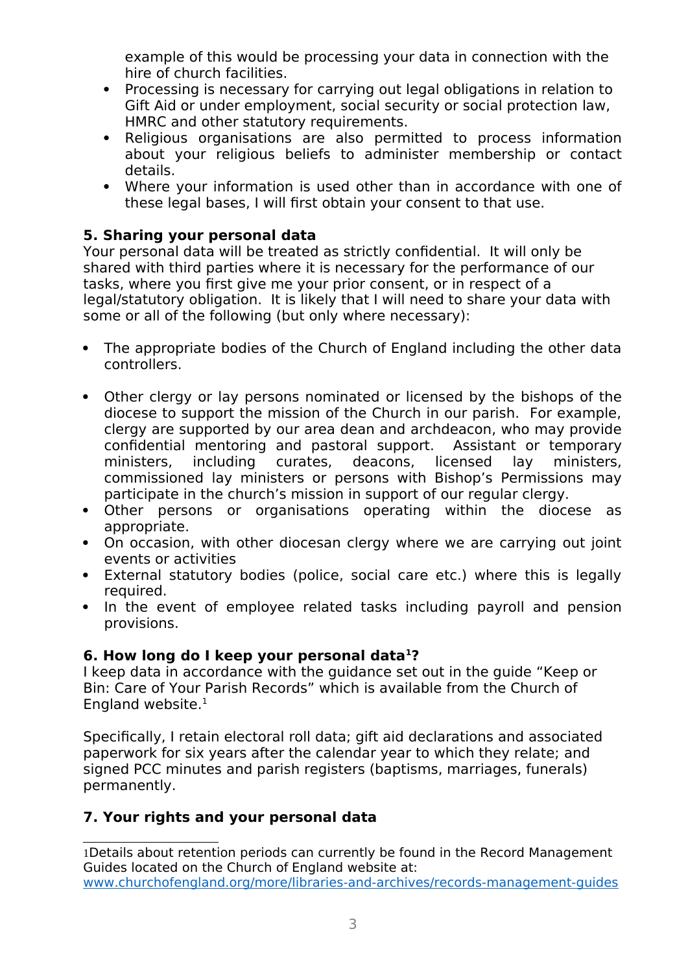example of this would be processing your data in connection with the hire of church facilities.

- Processing is necessary for carrying out legal obligations in relation to Gift Aid or under employment, social security or social protection law, HMRC and other statutory requirements.
- Religious organisations are also permitted to process information about your religious beliefs to administer membership or contact details.
- Where your information is used other than in accordance with one of these legal bases, I will frst obtain your consent to that use.

# **5. Sharing your personal data**

Your personal data will be treated as strictly confdential. It will only be shared with third parties where it is necessary for the performance of our tasks, where you frst give me your prior consent, or in respect of a legal/statutory obligation. It is likely that I will need to share your data with some or all of the following (but only where necessary):

- The appropriate bodies of the Church of England including the other data controllers.
- Other clergy or lay persons nominated or licensed by the bishops of the diocese to support the mission of the Church in our parish. For example, clergy are supported by our area dean and archdeacon, who may provide confdential mentoring and pastoral support. Assistant or temporary ministers, including curates, deacons, licensed lay ministers, commissioned lay ministers or persons with Bishop's Permissions may participate in the church's mission in support of our regular clergy.
- Other persons or organisations operating within the diocese as appropriate.
- On occasion, with other diocesan clergy where we are carrying out joint events or activities
- External statutory bodies (police, social care etc.) where this is legally required.
- In the event of employee related tasks including payroll and pension provisions.

## **6. How long do I keep your personal data[1](#page-2-0)?**

I keep data in accordance with the guidance set out in the guide "Keep or Bin: Care of Your Parish Records" which is available from the Church of England website. $1$ 

Specifcally, I retain electoral roll data; gift aid declarations and associated paperwork for six years after the calendar year to which they relate; and signed PCC minutes and parish registers (baptisms, marriages, funerals) permanently.

# **7. Your rights and your personal data**

<span id="page-2-0"></span>1Details about retention periods can currently be found in the Record Management Guides located on the Church of England website at: [www.churchofengland.org/more/libraries-and-archives/records-management-guides](http://www.churchofengland.org/more/libraries-and-archives/records-management-guides)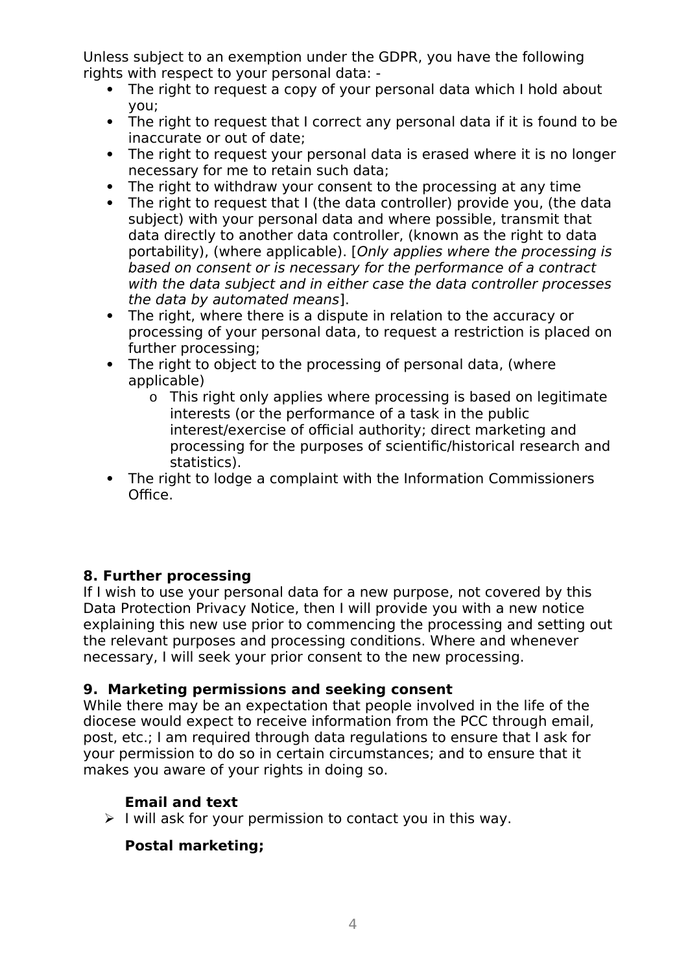Unless subject to an exemption under the GDPR, you have the following rights with respect to your personal data: -

- The right to request a copy of your personal data which I hold about you;
- The right to request that I correct any personal data if it is found to be inaccurate or out of date;
- The right to request your personal data is erased where it is no longer necessary for me to retain such data;
- The right to withdraw your consent to the processing at any time
- The right to request that I (the data controller) provide you, (the data subject) with your personal data and where possible, transmit that data directly to another data controller, (known as the right to data portability), (where applicable). [Only applies where the processing is based on consent or is necessary for the performance of a contract with the data subject and in either case the data controller processes the data by automated means].
- The right, where there is a dispute in relation to the accuracy or processing of your personal data, to request a restriction is placed on further processing;
- The right to object to the processing of personal data, (where applicable)
	- o This right only applies where processing is based on legitimate interests (or the performance of a task in the public interest/exercise of official authority; direct marketing and processing for the purposes of scientifc/historical research and statistics).
- The right to lodge a complaint with the Information Commissioners Office.

# **8. Further processing**

If I wish to use your personal data for a new purpose, not covered by this Data Protection Privacy Notice, then I will provide you with a new notice explaining this new use prior to commencing the processing and setting out the relevant purposes and processing conditions. Where and whenever necessary, I will seek your prior consent to the new processing.

## **9. Marketing permissions and seeking consent**

While there may be an expectation that people involved in the life of the diocese would expect to receive information from the PCC through email, post, etc.; I am required through data regulations to ensure that I ask for your permission to do so in certain circumstances; and to ensure that it makes you aware of your rights in doing so.

# **Email and text**

 $\triangleright$  I will ask for your permission to contact you in this way.

## **Postal marketing;**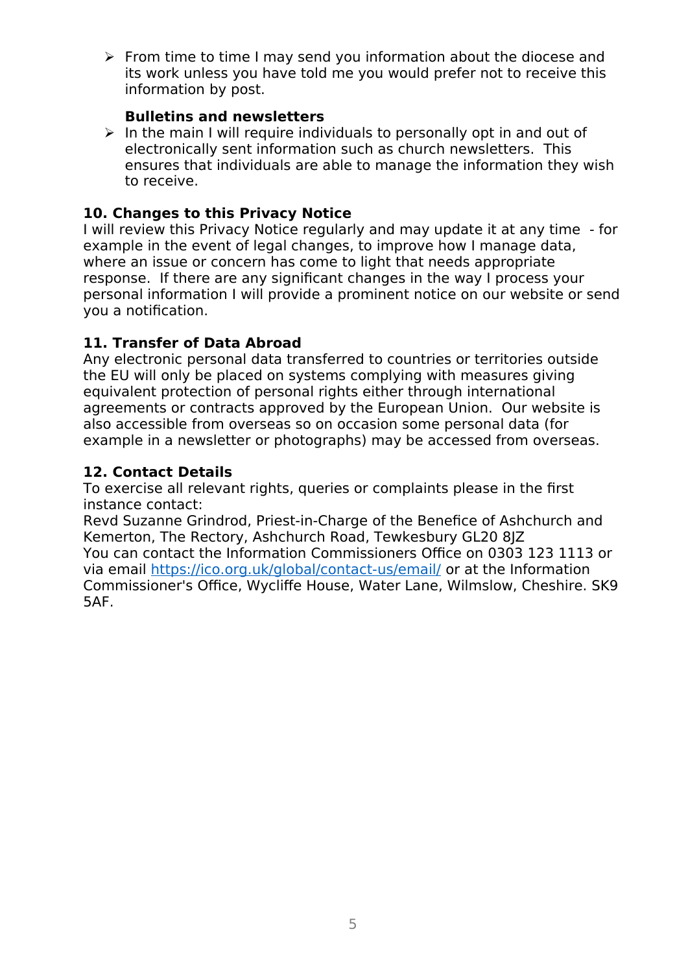$\triangleright$  From time to time I may send you information about the diocese and its work unless you have told me you would prefer not to receive this information by post.

### **Bulletins and newsletters**

 $\triangleright$  In the main I will require individuals to personally opt in and out of electronically sent information such as church newsletters. This ensures that individuals are able to manage the information they wish to receive.

# **10. Changes to this Privacy Notice**

I will review this Privacy Notice regularly and may update it at any time - for example in the event of legal changes, to improve how I manage data, where an issue or concern has come to light that needs appropriate response. If there are any signifcant changes in the way I process your personal information I will provide a prominent notice on our website or send you a notifcation.

## **11. Transfer of Data Abroad**

Any electronic personal data transferred to countries or territories outside the EU will only be placed on systems complying with measures giving equivalent protection of personal rights either through international agreements or contracts approved by the European Union. Our website is also accessible from overseas so on occasion some personal data (for example in a newsletter or photographs) may be accessed from overseas.

## **12. Contact Details**

To exercise all relevant rights, queries or complaints please in the frst instance contact:

Revd Suzanne Grindrod, Priest-in-Charge of the Benefce of Ashchurch and Kemerton, The Rectory, Ashchurch Road, Tewkesbury GL20 8JZ You can contact the Information Commissioners Office on 0303 123 1113 or via email<https://ico.org.uk/global/contact-us/email/>or at the Information Commissioner's Office, Wycliffe House, Water Lane, Wilmslow, Cheshire. SK9 5AF.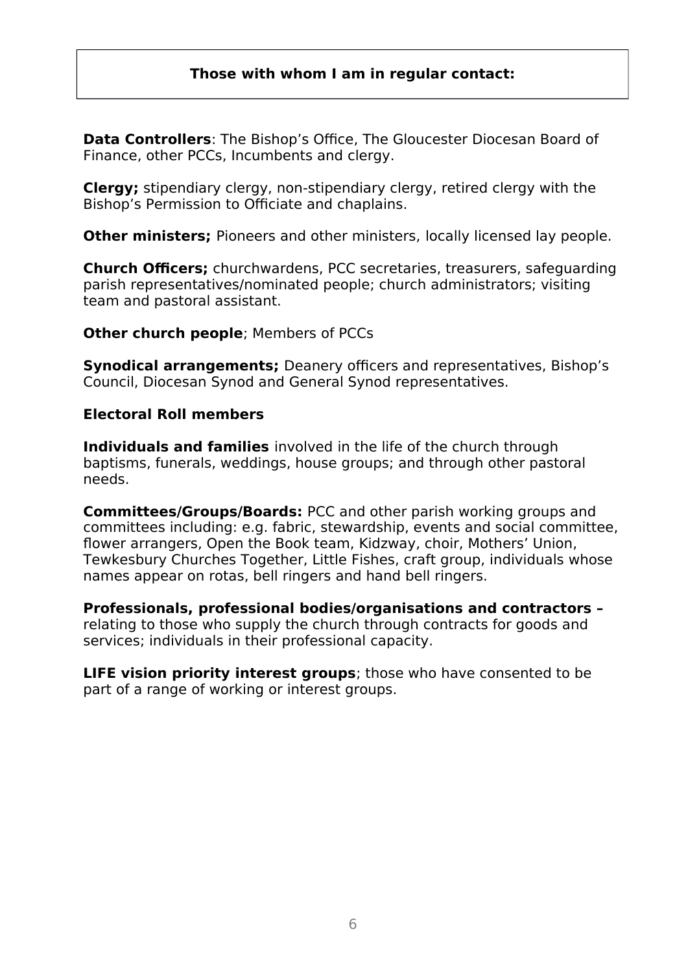## **Those with whom I am in regular contact:**

**Data Controllers:** The Bishop's Office. The Gloucester Diocesan Board of Finance, other PCCs, Incumbents and clergy.

**Clergy;** stipendiary clergy, non-stipendiary clergy, retired clergy with the Bishop's Permission to Officiate and chaplains.

**Other ministers:** Pioneers and other ministers, locally licensed lay people.

**Church Officers;** churchwardens, PCC secretaries, treasurers, safeguarding parish representatives/nominated people; church administrators; visiting team and pastoral assistant.

#### **Other church people**; Members of PCCs

**Synodical arrangements;** Deanery officers and representatives, Bishop's Council, Diocesan Synod and General Synod representatives.

#### **Electoral Roll members**

**Individuals and families** involved in the life of the church through baptisms, funerals, weddings, house groups; and through other pastoral needs.

**Committees/Groups/Boards:** PCC and other parish working groups and committees including: e.g. fabric, stewardship, events and social committee, fower arrangers, Open the Book team, Kidzway, choir, Mothers' Union, Tewkesbury Churches Together, Little Fishes, craft group, individuals whose names appear on rotas, bell ringers and hand bell ringers.

**Professionals, professional bodies/organisations and contractors –**  relating to those who supply the church through contracts for goods and services; individuals in their professional capacity.

**LIFE vision priority interest groups**; those who have consented to be part of a range of working or interest groups.